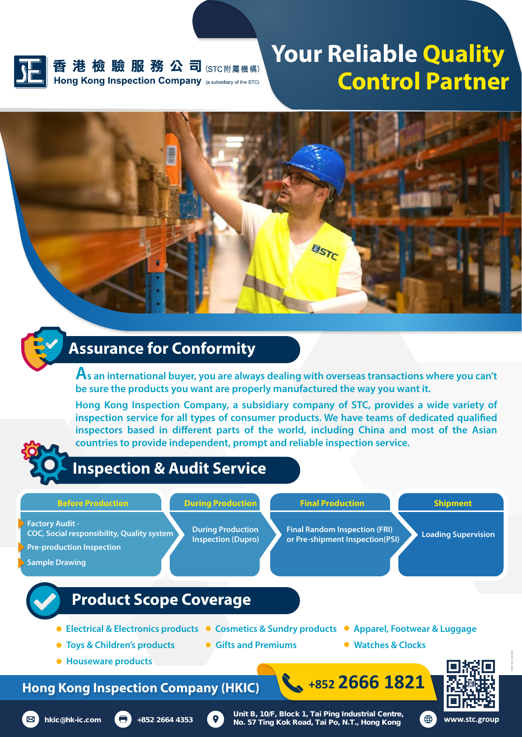

香港檢驗服務公司(STC附屬機構) Hong Kong Inspection Company (a subsidiary of the STC)

## **Your Reliable Quality Control Partner**

*HKICF2101E\_HK202103*



#### **Assurance for Conformity**

**As an international buyer, you are always dealing with overseas transactions where you can't be sure the products you want are properly manufactured the way you want it.** 

**Hong Kong Inspection Company, a subsidiary company of STC, provides a wide variety of**  inspection service for all types of consumer products. We have teams of dedicated qualified inspectors based in different parts of the world, including China and most of the Asian **countries to provide independent, prompt and reliable inspection service.**



### **Inspection & Audit Service**